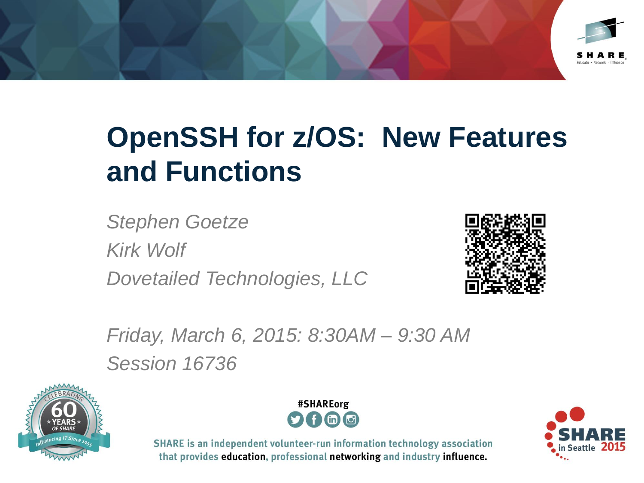

# **OpenSSH for z/OS: New Features and Functions**

*Stephen Goetze Kirk Wolf Dovetailed Technologies, LLC*



*Friday, March 6, 2015: 8:30AM – 9:30 AM Session 16736*





SHARE is an independent volunteer-run information technology association that provides education, professional networking and industry influence.

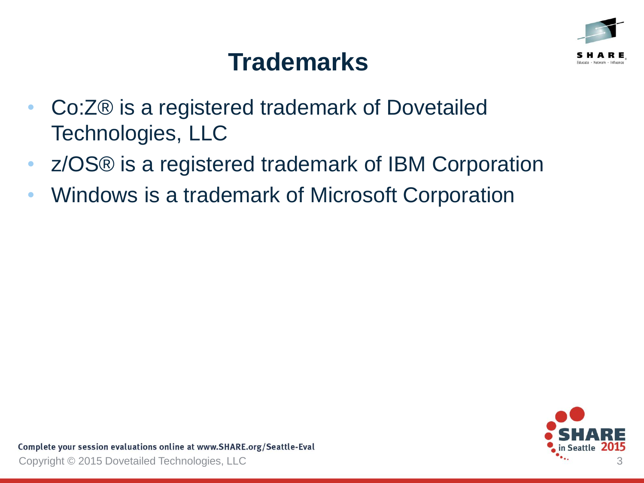

## **Trademarks**

- Co:Z® is a registered trademark of Dovetailed Technologies, LLC
- z/OS® is a registered trademark of IBM Corporation
- Windows is a trademark of Microsoft Corporation

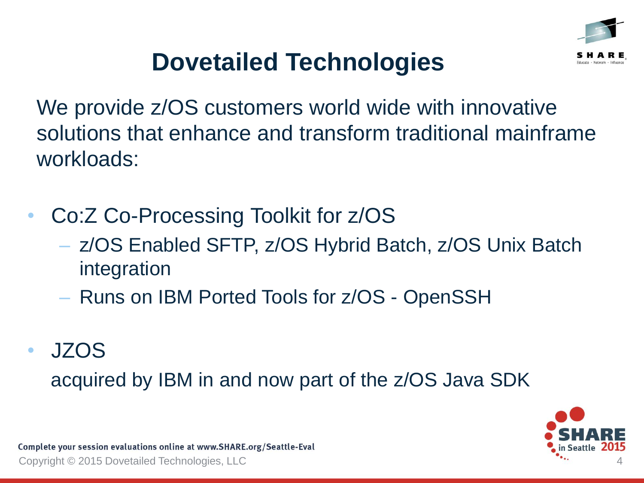

## **Dovetailed Technologies**

We provide  $z/OS$  customers world wide with innovative solutions that enhance and transform traditional mainframe workloads:

- Co:Z Co-Processing Toolkit for z/OS
	- z/OS Enabled SFTP, z/OS Hybrid Batch, z/OS Unix Batch integration
	- Runs on IBM Ported Tools for z/OS OpenSSH
- JZOS

acquired by IBM in and now part of the z/OS Java SDK

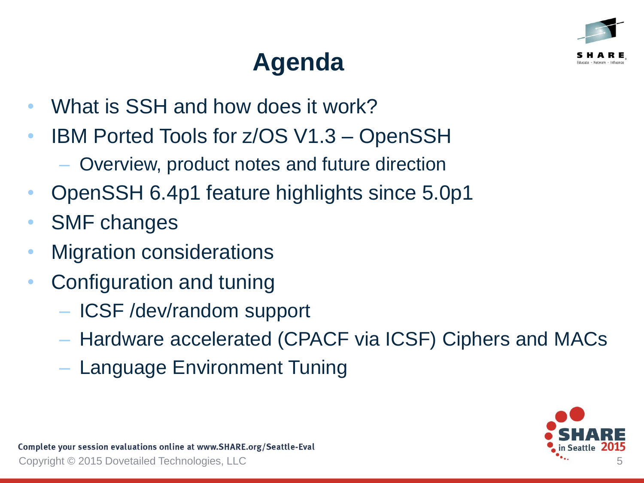

# **Agenda**

- What is SSH and how does it work?
- IBM Ported Tools for z/OS V1.3 OpenSSH
	- Overview, product notes and future direction
- OpenSSH 6.4p1 feature highlights since 5.0p1
- SMF changes
- Migration considerations
- Configuration and tuning
	- ICSF /dev/random support
	- Hardware accelerated (CPACF via ICSF) Ciphers and MACs
	- Language Environment Tuning

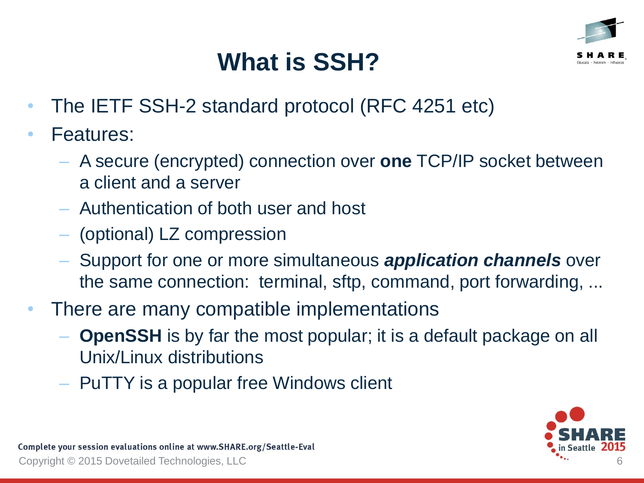

# **What is SSH?**

- The IETF SSH-2 standard protocol (RFC 4251 etc)
- Features:
	- A secure (encrypted) connection over **one** TCP/IP socket between a client and a server
	- Authentication of both user and host
	- (optional) LZ compression
	- Support for one or more simultaneous *application channels* over the same connection: terminal, sftp, command, port forwarding, ...
- There are many compatible implementations
	- **OpenSSH** is by far the most popular; it is a default package on all Unix/Linux distributions
	- PuTTY is a popular free Windows client

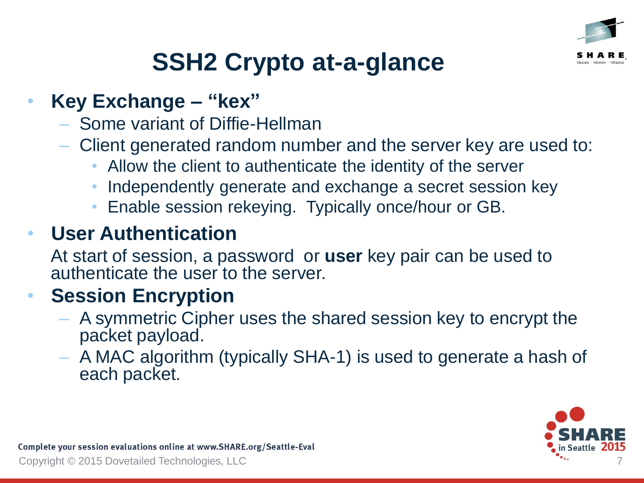

# **SSH2 Crypto at-a-glance**

#### • **Key Exchange – "kex"**

- Some variant of Diffie-Hellman
- Client generated random number and the server key are used to:
	- Allow the client to authenticate the identity of the server
	- Independently generate and exchange a secret session key
	- Enable session rekeying. Typically once/hour or GB.

#### • **User Authentication**

At start of session, a password or **user** key pair can be used to authenticate the user to the server.

### • **Session Encryption**

- A symmetric Cipher uses the shared session key to encrypt the packet payload.
- A MAC algorithm (typically SHA-1) is used to generate a hash of each packet.

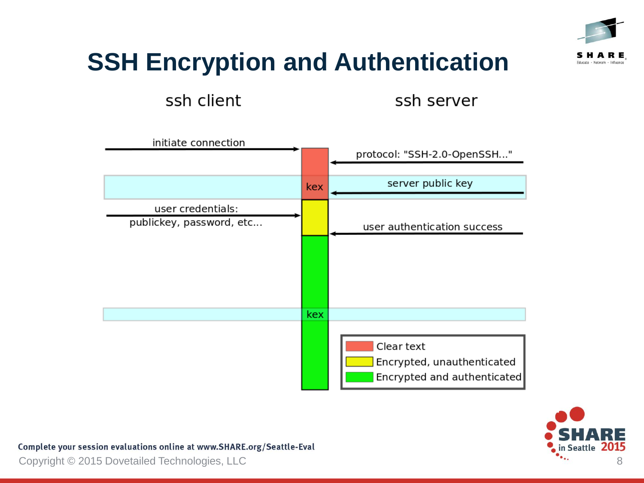

## **SSH Encryption and Authentication**

ssh client

ssh server





Complete your session evaluations online at www.SHARE.org/Seattle-Eval

Copyright © 2015 Dovetailed Technologies, LLC 8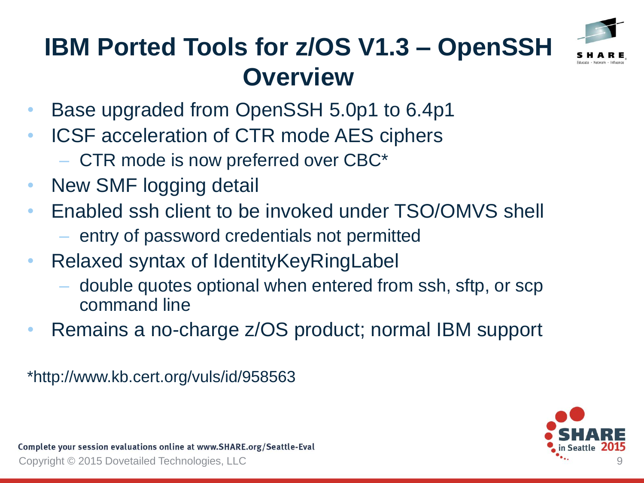

## **IBM Ported Tools for z/OS V1.3 – OpenSSH Overview**

- Base upgraded from OpenSSH 5.0p1 to 6.4p1
- ICSF acceleration of CTR mode AES ciphers
	- CTR mode is now preferred over CBC\*
- New SMF logging detail
- Enabled ssh client to be invoked under TSO/OMVS shell
	- entry of password credentials not permitted
- Relaxed syntax of IdentityKeyRingLabel
	- double quotes optional when entered from ssh, sftp, or scp command line
- Remains a no-charge z/OS product; normal IBM support

\*http://www.kb.cert.org/vuls/id/958563

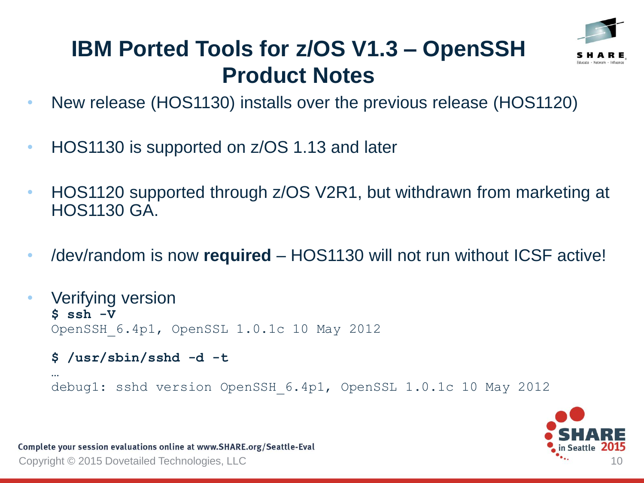

### **IBM Ported Tools for z/OS V1.3 – OpenSSH Product Notes**

- New release (HOS1130) installs over the previous release (HOS1120)
- HOS1130 is supported on z/OS 1.13 and later
- HOS1120 supported through z/OS V2R1, but withdrawn from marketing at HOS1130 GA.
- /dev/random is now **required** HOS1130 will not run without ICSF active!
- Verifying version **\$ ssh -V** OpenSSH\_6.4p1, OpenSSL 1.0.1c 10 May 2012
	- **\$ /usr/sbin/sshd -d -t**

```
…
debug1: sshd version OpenSSH_6.4p1, OpenSSL 1.0.1c 10 May 2012
```


Complete your session evaluations online at www.SHARE.org/Seattle-Eval Copyright © 2015 Dovetailed Technologies, LLC 10 and 10 and 10 and 10 and 10 and 10 and 10 and 10 and 10 and 10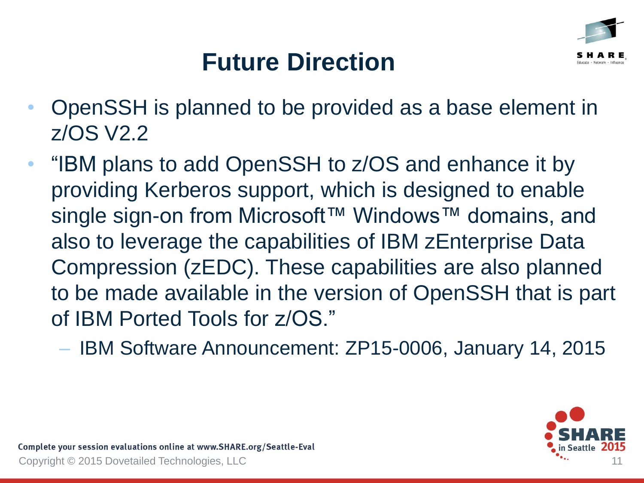

## **Future Direction**

- OpenSSH is planned to be provided as a base element in z/OS V2.2
- "IBM plans to add OpenSSH to z/OS and enhance it by providing Kerberos support, which is designed to enable single sign-on from Microsoft™ Windows™ domains, and also to leverage the capabilities of IBM zEnterprise Data Compression (zEDC). These capabilities are also planned to be made available in the version of OpenSSH that is part of IBM Ported Tools for z/OS."
	- IBM Software Announcement: ZP15-0006, January 14, 2015

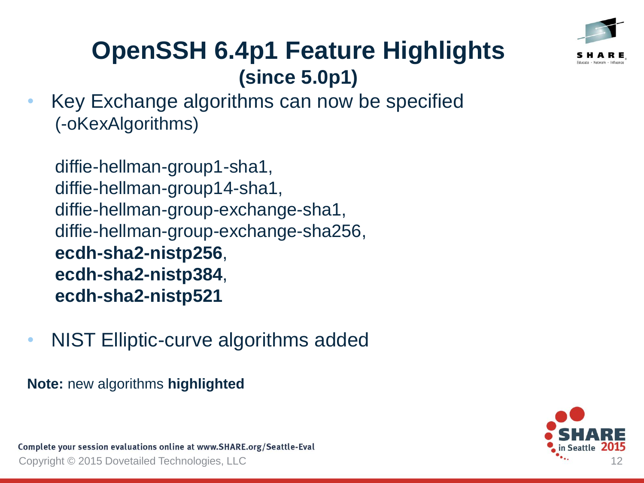

• Key Exchange algorithms can now be specified (-oKexAlgorithms)

```
diffie-hellman-group1-sha1, 
diffie-hellman-group14-sha1, 
diffie-hellman-group-exchange-sha1,
diffie-hellman-group-exchange-sha256,
ecdh-sha2-nistp256, 
ecdh-sha2-nistp384, 
ecdh-sha2-nistp521
```
• NIST Elliptic-curve algorithms added

**Note:** new algorithms **highlighted**

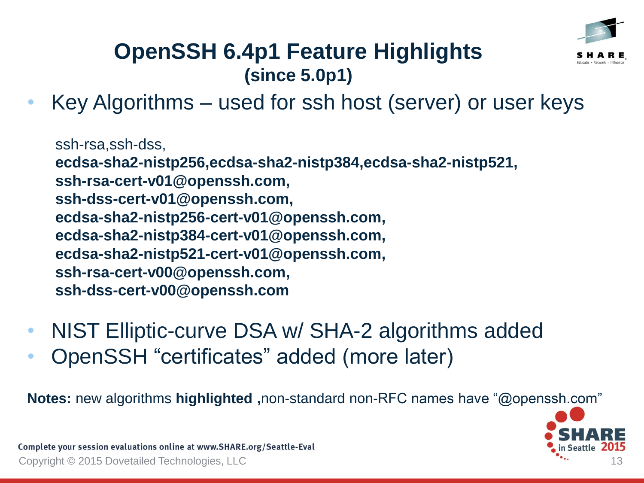

• Key Algorithms – used for ssh host (server) or user keys

ssh-rsa,ssh-dss,

**ecdsa-sha2-nistp256,ecdsa-sha2-nistp384,ecdsa-sha2-nistp521,**

**ssh-rsa-cert-v01@openssh.com,**

**ssh-dss-cert-v01@openssh.com,**

**ecdsa-sha2-nistp256-cert-v01@openssh.com,**

**ecdsa-sha2-nistp384-cert-v01@openssh.com,**

**ecdsa-sha2-nistp521-cert-v01@openssh.com,**

**ssh-rsa-cert-v00@openssh.com,**

**ssh-dss-cert-v00@openssh.com**

- NIST Elliptic-curve DSA w/ SHA-2 algorithms added
- OpenSSH "certificates" added (more later)

**Notes:** new algorithms **highlighted ,**non-standard non-RFC names have "@openssh.com"

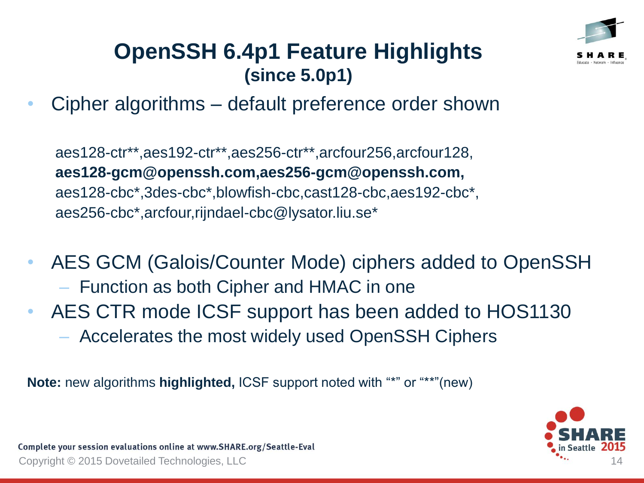

• Cipher algorithms – default preference order shown

aes128-ctr\*\*,aes192-ctr\*\*,aes256-ctr\*\*,arcfour256,arcfour128, **aes128-gcm@openssh.com,aes256-gcm@openssh.com,** aes128-cbc\*,3des-cbc\*,blowfish-cbc,cast128-cbc,aes192-cbc\*, aes256-cbc\*,arcfour,rijndael-cbc@lysator.liu.se\*

- AES GCM (Galois/Counter Mode) ciphers added to OpenSSH – Function as both Cipher and HMAC in one
- AES CTR mode ICSF support has been added to HOS1130 – Accelerates the most widely used OpenSSH Ciphers

**Note:** new algorithms **highlighted,** ICSF support noted with "\*" or "\*\*"(new)

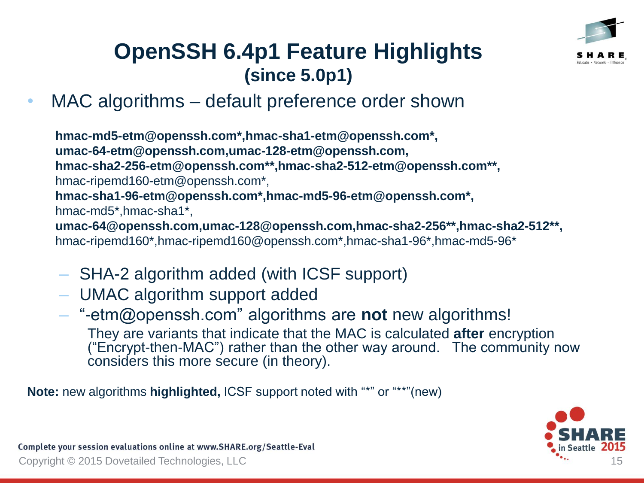

• MAC algorithms – default preference order shown

**hmac-md5-etm@openssh.com\*,hmac-sha1-etm@openssh.com\*, umac-64-etm@openssh.com,umac-128-etm@openssh.com, hmac-sha2-256-etm@openssh.com\*\*,hmac-sha2-512-etm@openssh.com\*\*,** hmac-ripemd160-etm@openssh.com\*, **hmac-sha1-96-etm@openssh.com\*,hmac-md5-96-etm@openssh.com\*,** hmac-md5\*,hmac-sha1\*, **umac-64@openssh.com,umac-128@openssh.com,hmac-sha2-256\*\*,hmac-sha2-512\*\*,** hmac-ripemd160\*,hmac-ripemd160@openssh.com\*,hmac-sha1-96\*,hmac-md5-96\*

- SHA-2 algorithm added (with ICSF support)
- UMAC algorithm support added
- "-etm@openssh.com" algorithms are **not** new algorithms! They are variants that indicate that the MAC is calculated **after** encryption ("Encrypt-then-MAC") rather than the other way around. The community now considers this more secure (in theory).

**Note:** new algorithms **highlighted,** ICSF support noted with "\*" or "\*\*"(new)

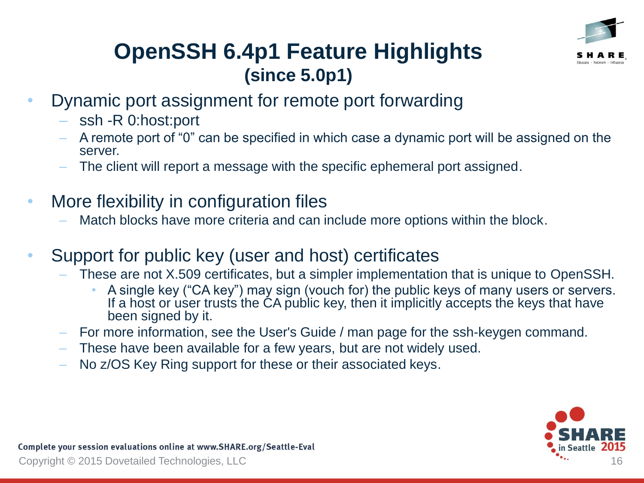

- Dynamic port assignment for remote port forwarding
	- ssh -R 0:host:port
	- A remote port of "0" can be specified in which case a dynamic port will be assigned on the server.
	- The client will report a message with the specific ephemeral port assigned.
- More flexibility in configuration files
	- Match blocks have more criteria and can include more options within the block.
- Support for public key (user and host) certificates
	- These are not X.509 certificates, but a simpler implementation that is unique to OpenSSH.
		- A single key ("CA key") may sign (vouch for) the public keys of many users or servers. If a host or user trusts the CA public key, then it implicitly accepts the keys that have been signed by it.
	- For more information, see the User's Guide / man page for the ssh-keygen command.
	- These have been available for a few years, but are not widely used.
	- No z/OS Key Ring support for these or their associated keys.

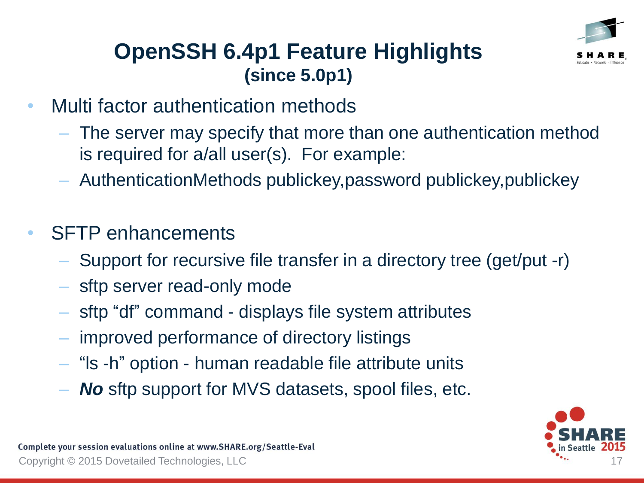

- Multi factor authentication methods
	- The server may specify that more than one authentication method is required for a/all user(s). For example:
	- AuthenticationMethods publickey,password publickey,publickey
- **SFTP** enhancements
	- Support for recursive file transfer in a directory tree (get/put -r)
	- sftp server read-only mode
	- sftp "df" command displays file system attributes
	- improved performance of directory listings
	- "ls -h" option human readable file attribute units
	- *No* sftp support for MVS datasets, spool files, etc.

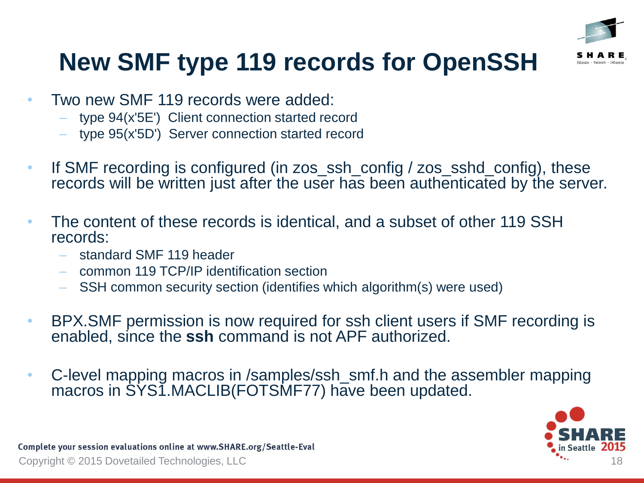

# **New SMF type 119 records for OpenSSH**

- Two new SMF 119 records were added:
	- type 94(x'5E') Client connection started record
	- type 95(x'5D') Server connection started record
- If SMF recording is configured (in zos\_ssh\_config / zos\_sshd\_config), these records will be written just after the user has been authenticated by the server.
- The content of these records is identical, and a subset of other 119 SSH records:
	- standard SMF 119 header
	- common 119 TCP/IP identification section
	- SSH common security section (identifies which algorithm(s) were used)
- BPX.SMF permission is now required for ssh client users if SMF recording is enabled, since the **ssh** command is not APF authorized.
- C-level mapping macros in /samples/ssh smf.h and the assembler mapping macros in SYS1.MACLIB(FOTSMF77) have been updated.

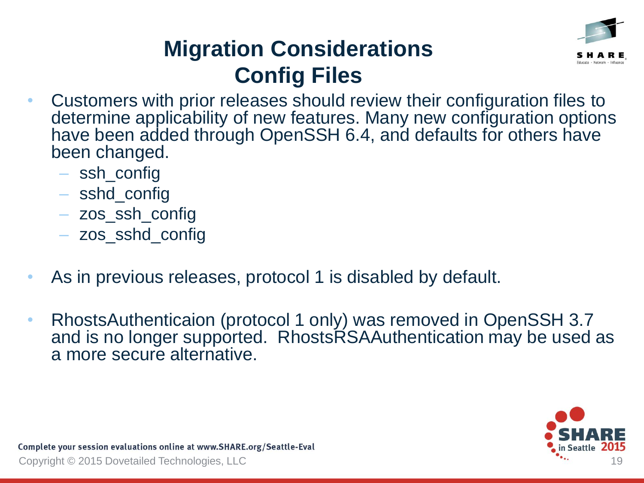

## **Migration Considerations Config Files**

- Customers with prior releases should review their configuration files to determine applicability of new features. Many new configuration options have been added through OpenSSH 6.4, and defaults for others have been changed.
	- ssh\_config
	- sshd\_config
	- zos\_ssh\_config
	- zos\_sshd\_config
- As in previous releases, protocol 1 is disabled by default.
- RhostsAuthenticaion (protocol 1 only) was removed in OpenSSH 3.7 and is no longer supported. RhostsRSAAuthentication may be used as a more secure alternative.

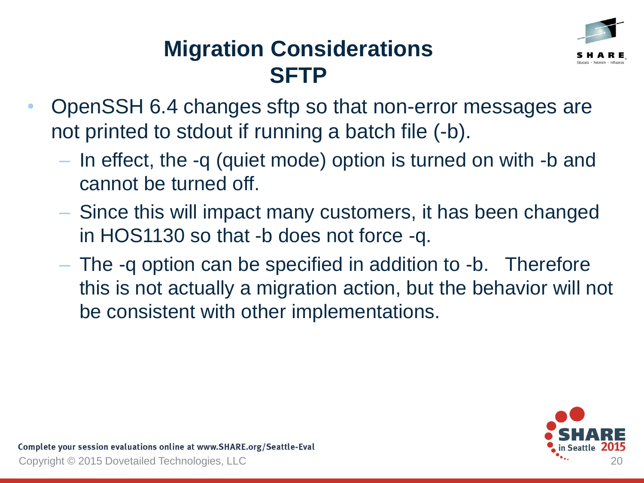

### **Migration Considerations SFTP**

- OpenSSH 6.4 changes sftp so that non-error messages are not printed to stdout if running a batch file (-b).
	- In effect, the -q (quiet mode) option is turned on with -b and cannot be turned off.
	- Since this will impact many customers, it has been changed in HOS1130 so that -b does not force -q.
	- The -q option can be specified in addition to -b. Therefore this is not actually a migration action, but the behavior will not be consistent with other implementations.

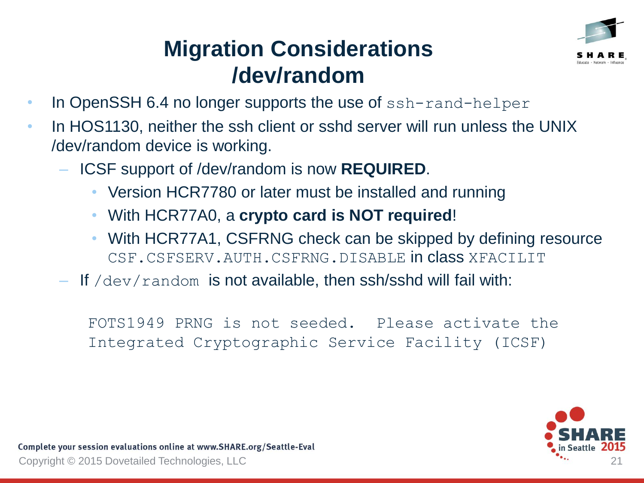

### **Migration Considerations /dev/random**

- In OpenSSH 6.4 no longer supports the use of ssh-rand-helper
- In HOS1130, neither the ssh client or sshd server will run unless the UNIX /dev/random device is working.
	- ICSF support of /dev/random is now **REQUIRED**.
		- Version HCR7780 or later must be installed and running
		- With HCR77A0, a **crypto card is NOT required**!
		- With HCR77A1, CSFRNG check can be skipped by defining resource CSF.CSFSERV.AUTH.CSFRNG.DISABLE in class XFACILIT
	- $-$  If /dev/random is not available, then ssh/sshd will fail with:

FOTS1949 PRNG is not seeded. Please activate the Integrated Cryptographic Service Facility (ICSF)

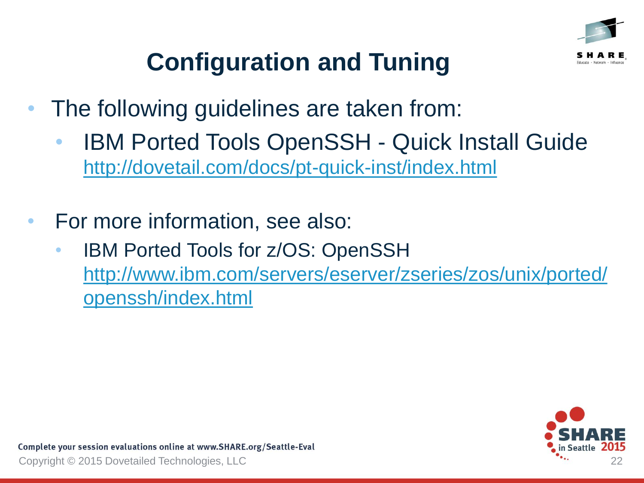

# **Configuration and Tuning**

- The following guidelines are taken from:
	- **IBM Ported Tools OpenSSH Quick Install Guide** <http://dovetail.com/docs/pt-quick-inst/index.html>
- For more information, see also:
	- IBM Ported Tools for z/OS: OpenSSH [http://www.ibm.com/servers/eserver/zseries/zos/unix/ported/](http://www.ibm.com/servers/eserver/zseries/zos/unix/ported/openssh/index.html) openssh/index.html

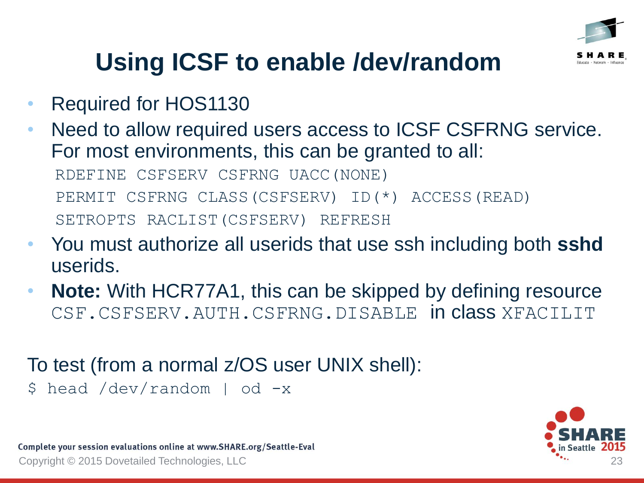

# **Using ICSF to enable /dev/random**

- Required for HOS1130
- Need to allow required users access to ICSF CSFRNG service. For most environments, this can be granted to all: RDEFINE CSFSERV CSFRNG UACC(NONE) PERMIT CSFRNG CLASS(CSFSERV) ID(\*) ACCESS(READ) SETROPTS RACLIST(CSFSERV) REFRESH
- You must authorize all userids that use ssh including both **sshd** userids.
- **Note:** With HCR77A1, this can be skipped by defining resource CSF.CSFSERV.AUTH.CSFRNG.DISABLE in class XFACILIT

#### To test (from a normal z/OS user UNIX shell):

\$ head /dev/random | od -x

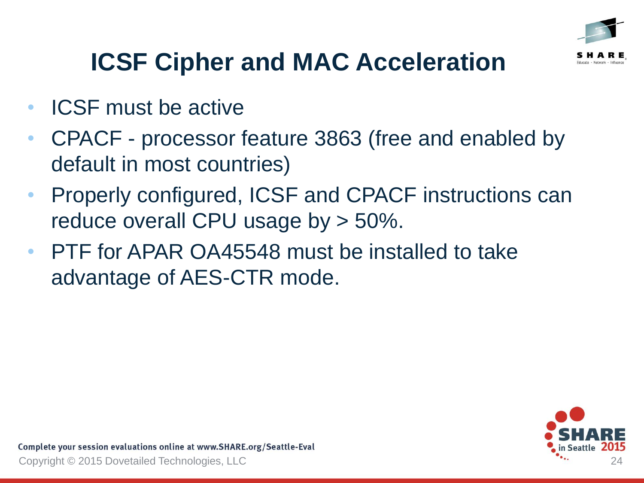

- ICSF must be active
- CPACF processor feature 3863 (free and enabled by default in most countries)
- Properly configured, ICSF and CPACF instructions can reduce overall CPU usage by > 50%.
- PTF for APAR OA45548 must be installed to take advantage of AES-CTR mode.

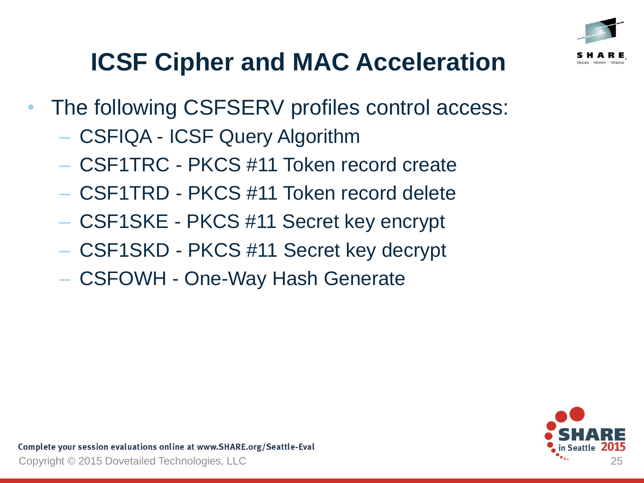

- The following CSFSERV profiles control access:
	- CSFIQA ICSF Query Algorithm
	- CSF1TRC PKCS #11 Token record create
	- CSF1TRD PKCS #11 Token record delete
	- CSF1SKE PKCS #11 Secret key encrypt
	- CSF1SKD PKCS #11 Secret key decrypt
	- CSFOWH One-Way Hash Generate

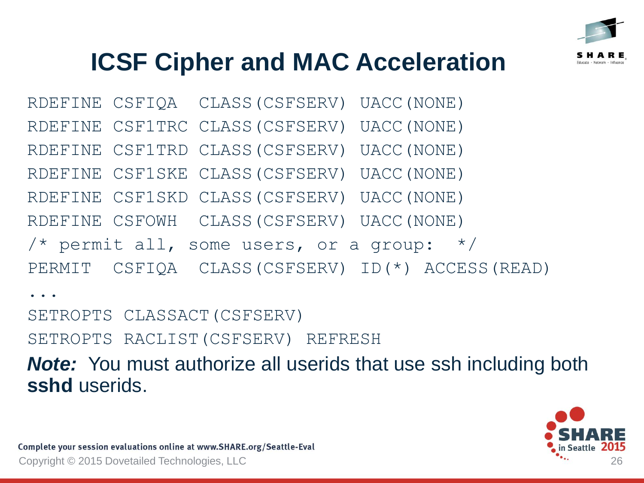

RDEFINE CSFIQA CLASS(CSFSERV) UACC(NONE) RDEFINE CSF1TRC CLASS(CSFSERV) UACC(NONE) RDEFINE CSF1TRD CLASS(CSFSERV) UACC(NONE) RDEFINE CSF1SKE CLASS(CSFSERV) UACC(NONE) RDEFINE CSF1SKD CLASS(CSFSERV) UACC(NONE) RDEFINE CSFOWH CLASS(CSFSERV) UACC(NONE) /\* permit all, some users, or a group:  $*/$ PERMIT CSFIQA CLASS(CSFSERV) ID(\*) ACCESS(READ) ...

SETROPTS CLASSACT(CSFSERV)

SETROPTS RACLIST(CSFSERV) REFRESH

*Note:* You must authorize all userids that use ssh including both **sshd** userids.

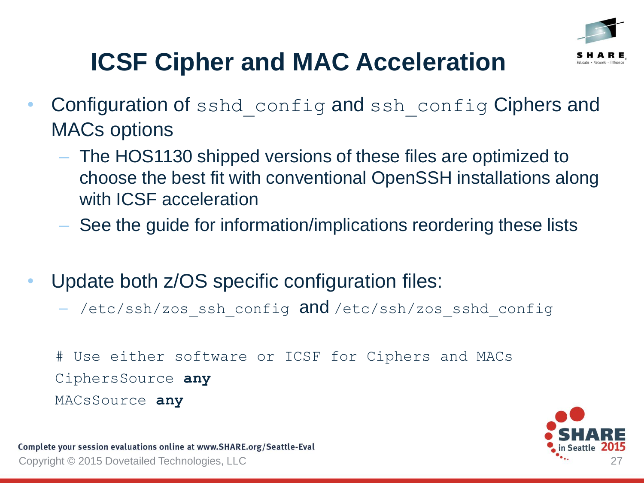

- Configuration of sshd config and ssh config Ciphers and MACs options
	- The HOS1130 shipped versions of these files are optimized to choose the best fit with conventional OpenSSH installations along with ICSF acceleration
	- See the guide for information/implications reordering these lists
- Update both z/OS specific configuration files:
	- /etc/ssh/zos ssh\_config and /etc/ssh/zos\_sshd\_config

# Use either software or ICSF for Ciphers and MACs CiphersSource **any** MACsSource **any**

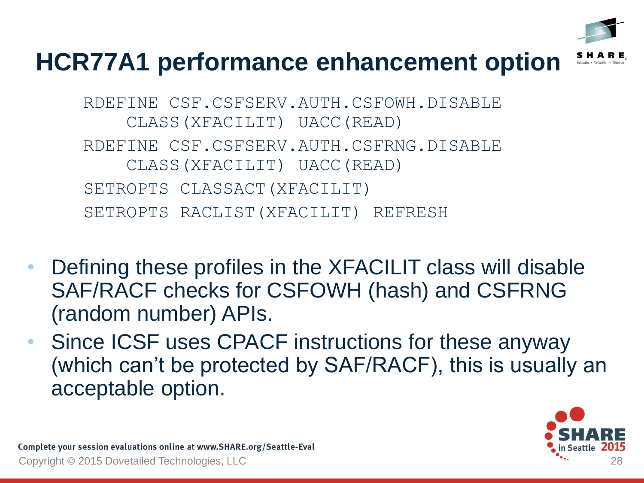

### **HCR77A1 performance enhancement option**

RDEFINE CSF.CSFSERV.AUTH.CSFOWH.DISABLE CLASS(XFACILIT) UACC(READ) RDEFINE CSF.CSFSERV.AUTH.CSFRNG.DISABLE CLASS(XFACILIT) UACC(READ) SETROPTS CLASSACT(XFACILIT) SETROPTS RACLIST(XFACILIT) REFRESH

- Defining these profiles in the XFACILIT class will disable SAF/RACF checks for CSFOWH (hash) and CSFRNG (random number) APIs.
- Since ICSF uses CPACF instructions for these anyway (which can't be protected by SAF/RACF), this is usually an acceptable option.

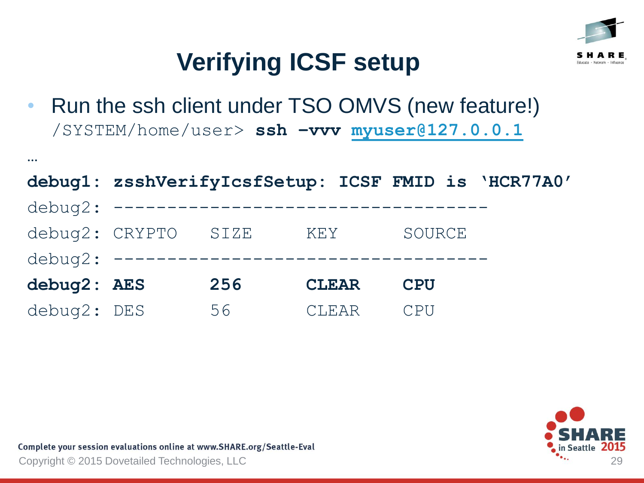

• Run the ssh client under TSO OMVS (new feature!) /SYSTEM/home/user> **ssh –vvv [myuser@127.0.0.1](mailto:myuser@127.0.0.1)**

|             |                                       |     |              |            | debug1: zsshVerifyIcsfSetup: ICSF FMID is 'HCR77A0' |
|-------------|---------------------------------------|-----|--------------|------------|-----------------------------------------------------|
|             | debug2: ----------------------------  |     |              |            |                                                     |
|             | debug2: CRYPTO SIZE                   |     | KEY          | SOURCE     |                                                     |
|             | debug2: ----------------------------- |     |              |            |                                                     |
| debug2: AES |                                       | 256 | <b>CLEAR</b> | <b>CPU</b> |                                                     |
| debug2: DES |                                       | 56  | <b>CLEAR</b> | CPIJ       |                                                     |

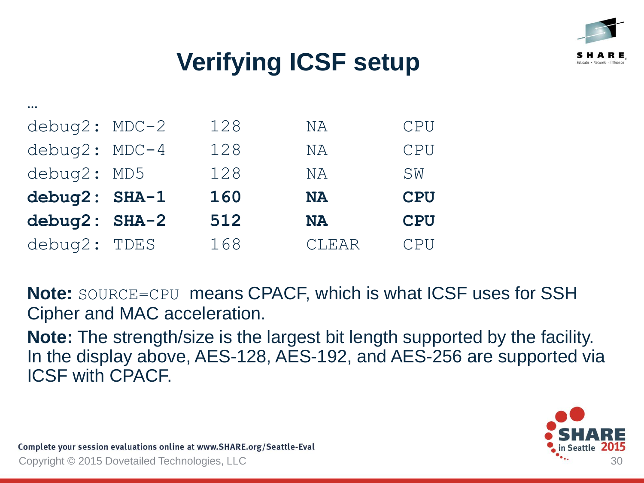

| $debuq2: MDC-2$ | 128 | <b>NA</b> | <b>CPU</b> |
|-----------------|-----|-----------|------------|
| $debuq2: MDC-4$ | 128 | ΝA        | CPU        |
| debug2: MD5     | 128 | ΝA        | SW         |
| debug2: SHA-1   | 160 | <b>NA</b> | <b>CPU</b> |
| debug2: SHA-2   | 512 | <b>NA</b> | <b>CPU</b> |
| debug2: TDES    | 168 | CLEAR     | CPU        |

**Note:** SOURCE=CPU means CPACF, which is what ICSF uses for SSH Cipher and MAC acceleration.

**Note:** The strength/size is the largest bit length supported by the facility. In the display above, AES-128, AES-192, and AES-256 are supported via ICSF with CPACF.

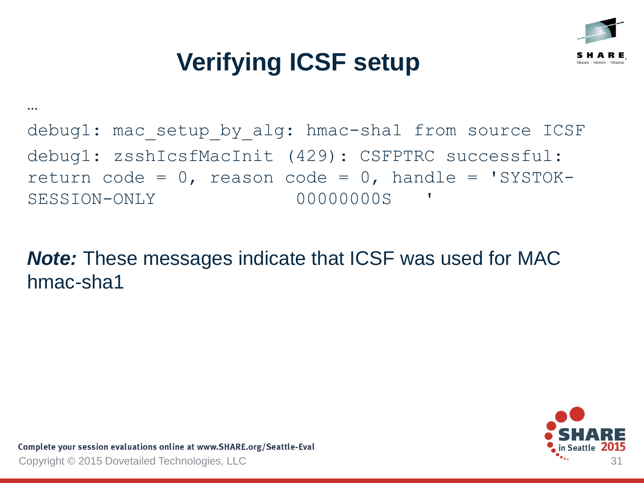

#### debug1: mac setup by alg: hmac-sha1 from source ICSF debug1: zsshIcsfMacInit (429): CSFPTRC successful: return code =  $0$ , reason code =  $0$ , handle = 'SYSTOK-SESSION-ONLY 00000000S '

*Note:* These messages indicate that ICSF was used for MAC hmac-sha1

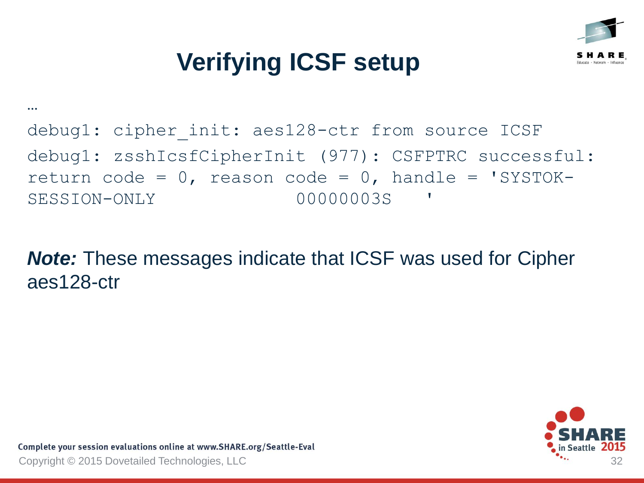

#### debug1: cipher init: aes128-ctr from source ICSF debug1: zsshIcsfCipherInit (977): CSFPTRC successful: return code =  $0$ , reason code =  $0$ , handle = 'SYSTOK-SESSION-ONLY 00000003S '

*Note:* These messages indicate that ICSF was used for Cipher aes128-ctr

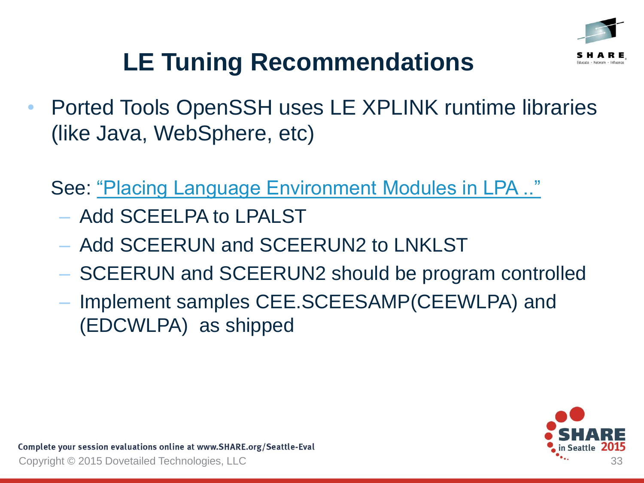

# **LE Tuning Recommendations**

• Ported Tools OpenSSH uses LE XPLINK runtime libraries (like Java, WebSphere, etc)

See: ["Placing Language Environment Modules in LPA .."](http://pic.dhe.ibm.com/infocenter/zos/v2r1/index.jsp?topic=/com.ibm.zos.v2r1.ceea500/plnilpa.htm)

- Add SCEELPA to LPALST
- Add SCEERUN and SCEERUN2 to LNKLST
- SCEERUN and SCEERUN2 should be program controlled
- Implement samples CEE.SCEESAMP(CEEWLPA) and (EDCWLPA) as shipped

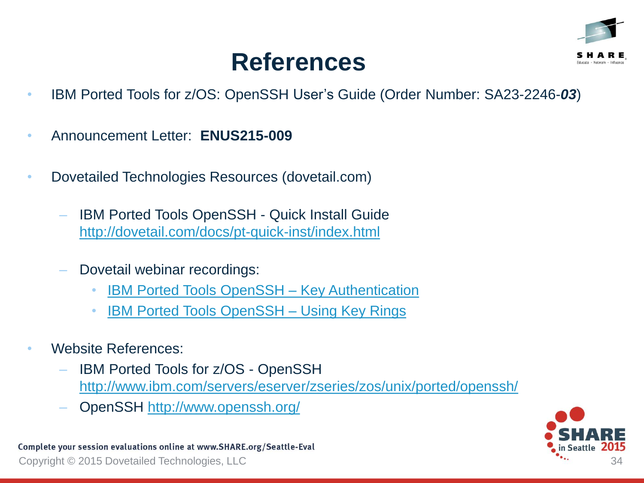

### **References**

- IBM Ported Tools for z/OS: OpenSSH User's Guide (Order Number: SA23-2246-*03*)
- Announcement Letter: **ENUS215-009**
- Dovetailed Technologies Resources (dovetail.com)
	- IBM Ported Tools OpenSSH Quick Install Guide <http://dovetail.com/docs/pt-quick-inst/index.html>
	- Dovetail webinar recordings:
		- **[IBM Ported Tools OpenSSH](http://dovetail.com/webinars.html) Key Authentication**
		- **[IBM Ported Tools OpenSSH](http://dovetail.com/webinars.html) Using Key Rings**
- Website References:
	- IBM Ported Tools for z/OS OpenSSH [http://www.ibm.com/servers/eserver/zseries/zos/unix/ported/openssh/](http://www.ibm.com/systems/z/os/zos/features/unix/ported/openssh/)
	- OpenSSH <http://www.openssh.org/>